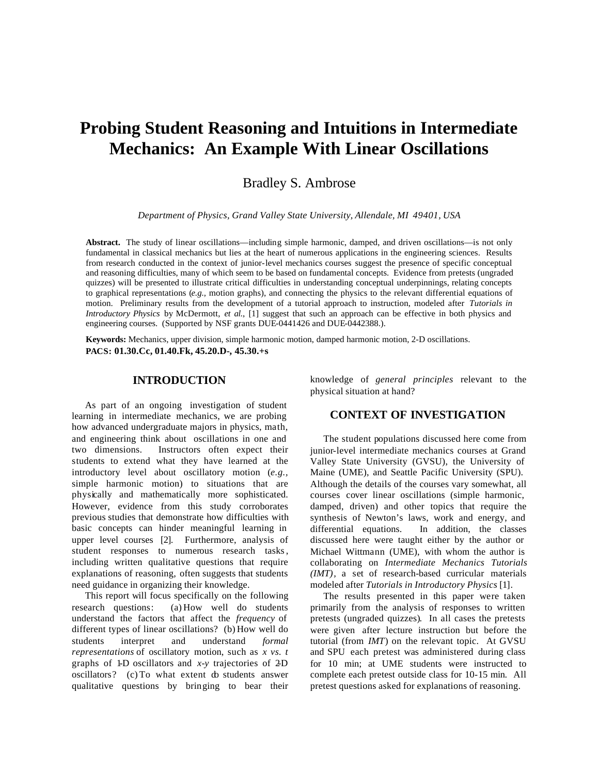# **Probing Student Reasoning and Intuitions in Intermediate Mechanics: An Example With Linear Oscillations**

Bradley S. Ambrose

*Department of Physics, Grand Valley State University, Allendale, MI 49401, USA*

**Abstract.** The study of linear oscillations—including simple harmonic, damped, and driven oscillations—is not only fundamental in classical mechanics but lies at the heart of numerous applications in the engineering sciences. Results from research conducted in the context of junior-level mechanics courses suggest the presence of specific conceptual and reasoning difficulties, many of which seem to be based on fundamental concepts. Evidence from pretests (ungraded quizzes) will be presented to illustrate critical difficulties in understanding conceptual underpinnings, relating concepts to graphical representations (*e.g.,* motion graphs), and connecting the physics to the relevant differential equations of motion. Preliminary results from the development of a tutorial approach to instruction, modeled after *Tutorials in Introductory Physics* by McDermott, *et al.*, [1] suggest that such an approach can be effective in both physics and engineering courses. (Supported by NSF grants DUE-0441426 and DUE-0442388.).

**Keywords:** Mechanics, upper division, simple harmonic motion, damped harmonic motion, 2-D oscillations. **PACS: 01.30.Cc, 01.40.Fk, 45.20.D-, 45.30.+s**

#### **INTRODUCTION**

As part of an ongoing investigation of student learning in intermediate mechanics, we are probing how advanced undergraduate majors in physics, math, and engineering think about oscillations in one and two dimensions. Instructors often expect their students to extend what they have learned at the introductory level about oscillatory motion (*e.g.,* simple harmonic motion) to situations that are physically and mathematically more sophisticated. However, evidence from this study corroborates previous studies that demonstrate how difficulties with basic concepts can hinder meaningful learning in upper level courses [2]. Furthermore, analysis of student responses to numerous research tasks, including written qualitative questions that require explanations of reasoning, often suggests that students need guidance in organizing their knowledge.

This report will focus specifically on the following research questions: (a) How well do students understand the factors that affect the *frequency* of different types of linear oscillations? (b) How well do students interpret and understand *formal representations* of oscillatory motion, such as *x vs. t* graphs of 1-D oscillators and *x-y* trajectories of 2-D oscillators? (c) To what extent do students answer qualitative questions by bringing to bear their knowledge of *general principles* relevant to the physical situation at hand?

## **CONTEXT OF INVESTIGATION**

The student populations discussed here come from junior-level intermediate mechanics courses at Grand Valley State University (GVSU), the University of Maine (UME), and Seattle Pacific University (SPU). Although the details of the courses vary somewhat, all courses cover linear oscillations (simple harmonic, damped, driven) and other topics that require the synthesis of Newton's laws, work and energy, and differential equations. In addition, the classes discussed here were taught either by the author or Michael Wittmann (UME), with whom the author is collaborating on *Intermediate Mechanics Tutorials (IMT),* a set of research-based curricular materials modeled after *Tutorials in Introductory Physics* [1].

The results presented in this paper were taken primarily from the analysis of responses to written pretests (ungraded quizzes). In all cases the pretests were given after lecture instruction but before the tutorial (from *IMT*) on the relevant topic. At GVSU and SPU each pretest was administered during class for 10 min; at UME students were instructed to complete each pretest outside class for 10-15 min. All pretest questions asked for explanations of reasoning.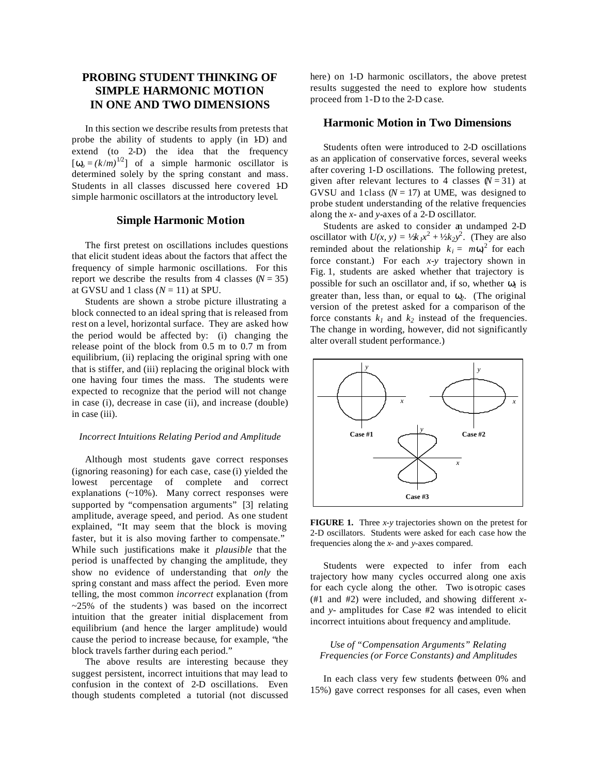# **PROBING STUDENT THINKING OF SIMPLE HARMONIC MOTION IN ONE AND TWO DIMENSIONS**

In this section we describe results from pretests that probe the ability of students to apply (in 1D) and extend (to 2-D) the idea that the frequency  $\left[\mathbf{w}_o = (k/m)^{1/2}\right]$  of a simple harmonic oscillator is determined solely by the spring constant and mass. Students in all classes discussed here covered 1D simple harmonic oscillators at the introductory level.

# **Simple Harmonic Motion**

The first pretest on oscillations includes questions that elicit student ideas about the factors that affect the frequency of simple harmonic oscillations. For this report we describe the results from 4 classes  $(N = 35)$ at GVSU and 1 class  $(N = 11)$  at SPU.

Students are shown a strobe picture illustrating a block connected to an ideal spring that is released from rest on a level, horizontal surface. They are asked how the period would be affected by: (i) changing the release point of the block from 0.5 m to 0.7 m from equilibrium, (ii) replacing the original spring with one that is stiffer, and (iii) replacing the original block with one having four times the mass. The students were expected to recognize that the period will not change in case (i), decrease in case (ii), and increase (double) in case (iii).

#### *Incorrect Intuitions Relating Period and Amplitude*

Although most students gave correct responses (ignoring reasoning) for each case, case (i) yielded the lowest percentage of complete and correct explanations (~10%). Many correct responses were supported by "compensation arguments" [3] relating amplitude, average speed, and period. As one student explained, "It may seem that the block is moving faster, but it is also moving farther to compensate." While such justifications make it *plausible* that the period is unaffected by changing the amplitude, they show no evidence of understanding that *only* the spring constant and mass affect the period. Even more telling, the most common *incorrect* explanation (from  $\approx$  25% of the students) was based on the incorrect intuition that the greater initial displacement from equilibrium (and hence the larger amplitude) would cause the period to increase because, for example, "the block travels farther during each period."

The above results are interesting because they suggest persistent, incorrect intuitions that may lead to confusion in the context of 2-D oscillations. Even though students completed a tutorial (not discussed

here) on 1-D harmonic oscillators, the above pretest results suggested the need to explore how students proceed from 1-D to the 2-D case.

## **Harmonic Motion in Two Dimensions**

Students often were introduced to 2-D oscillations as an application of conservative forces, several weeks after covering 1-D oscillations. The following pretest, given after relevant lectures to 4 classes  $(N = 31)$  at GVSU and 1class  $(N = 17)$  at UME, was designed to probe student understanding of the relative frequencies along the *x*- and *y*-axes of a 2-D oscillator.

Students are asked to consider an undamped 2-D oscillator with  $U(x, y) = \frac{1}{k}x^2 + \frac{1}{2}k^2y^2$ . (They are also reminded about the relationship  $k_i = m w_i^2$  for each force constant.) For each *x-y* trajectory shown in Fig. 1, students are asked whether that trajectory is possible for such an oscillator and, if so, whether *w1* is greater than, less than, or equal to *w2.* (The original version of the pretest asked for a comparison of the force constants  $k_l$  and  $k_2$  instead of the frequencies. The change in wording, however, did not significantly alter overall student performance.)



**FIGURE 1.** Three *x-y* trajectories shown on the pretest for 2-D oscillators. Students were asked for each case how the frequencies along the *x*- and *y*-axes compared.

Students were expected to infer from each trajectory how many cycles occurred along one axis for each cycle along the other. Two is otropic cases (#1 and #2) were included, and showing different *x*and *y*- amplitudes for Case #2 was intended to elicit incorrect intuitions about frequency and amplitude.

### *Use of "Compensation Arguments" Relating Frequencies (or Force Constants) and Amplitudes*

In each class very few students (between 0% and 15%) gave correct responses for all cases, even when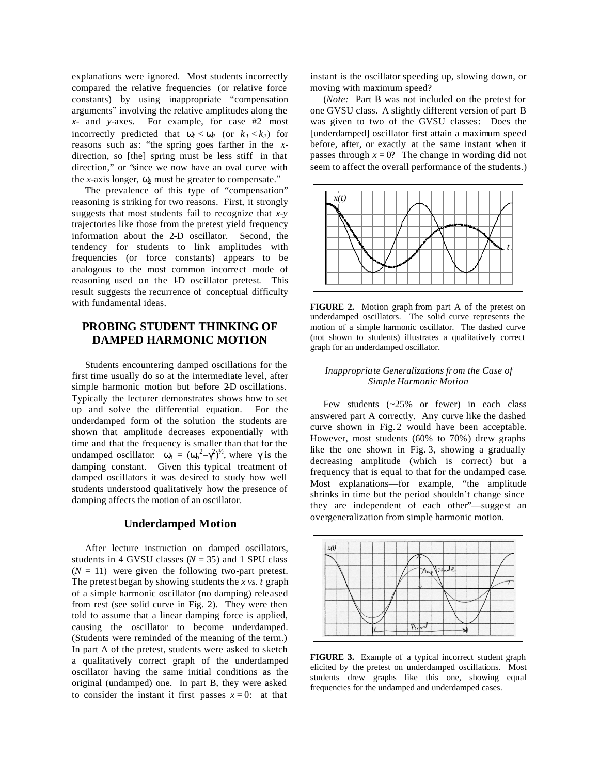explanations were ignored. Most students incorrectly compared the relative frequencies (or relative force constants) by using inappropriate "compensation arguments" involving the relative amplitudes along the *x*- and *y*-axes. For example, for case #2 most incorrectly predicted that  $w_1 < w_2$  (or  $k_1 < k_2$ ) for reasons such as: "the spring goes farther in the *x*direction, so [the] spring must be less stiff in that direction," or "since we now have an oval curve with the *x*-axis longer,  $w_2$  must be greater to compensate."

The prevalence of this type of "compensation" reasoning is striking for two reasons. First, it strongly suggests that most students fail to recognize that *x-y* trajectories like those from the pretest yield frequency information about the 2-D oscillator. Second, the tendency for students to link amplitudes with frequencies (or force constants) appears to be analogous to the most common incorrect mode of reasoning used on the 1-D oscillator pretest. This result suggests the recurrence of conceptual difficulty with fundamental ideas.

# **PROBING STUDENT THINKING OF DAMPED HARMONIC MOTION**

Students encountering damped oscillations for the first time usually do so at the intermediate level, after simple harmonic motion but before 2D oscillations. Typically the lecturer demonstrates shows how to set up and solve the differential equation. For the underdamped form of the solution the students are shown that amplitude decreases exponentially with time and that the frequency is smaller than that for the undamped oscillator:  $w_d = (w_o^2 - g^2)^{1/2}$ , where *g* is the damping constant. Given this typical treatment of damped oscillators it was desired to study how well students understood qualitatively how the presence of damping affects the motion of an oscillator.

#### **Underdamped Motion**

After lecture instruction on damped oscillators, students in 4 GVSU classes  $(N = 35)$  and 1 SPU class  $(N = 11)$  were given the following two-part pretest. The pretest began by showing students the *x vs. t* graph of a simple harmonic oscillator (no damping) released from rest (see solid curve in Fig. 2). They were then told to assume that a linear damping force is applied, causing the oscillator to become underdamped. (Students were reminded of the meaning of the term.) In part A of the pretest, students were asked to sketch a qualitatively correct graph of the underdamped oscillator having the same initial conditions as the original (undamped) one. In part B, they were asked to consider the instant it first passes  $x = 0$ : at that

instant is the oscillator speeding up, slowing down, or moving with maximum speed?

(*Note:* Part B was not included on the pretest for one GVSU class. A slightly different version of part B was given to two of the GVSU classes: Does the [underdamped] oscillator first attain a maximum speed before, after, or exactly at the same instant when it passes through  $x = 0$ ? The change in wording did not seem to affect the overall performance of the students.)



**FIGURE 2.** Motion graph from part A of the pretest on underdamped oscillators. The solid curve represents the motion of a simple harmonic oscillator. The dashed curve (not shown to students) illustrates a qualitatively correct graph for an underdamped oscillator.

#### *Inappropriate Generalizations from the Case of Simple Harmonic Motion*

Few students (~25% or fewer) in each class answered part A correctly. Any curve like the dashed curve shown in Fig. 2 would have been acceptable. However, most students (60% to 70%) drew graphs like the one shown in Fig. 3, showing a gradually decreasing amplitude (which is correct) but a frequency that is equal to that for the undamped case. Most explanations—for example, "the amplitude shrinks in time but the period shouldn't change since they are independent of each other"—suggest an overgeneralization from simple harmonic motion.



**FIGURE 3.** Example of a typical incorrect student graph elicited by the pretest on underdamped oscillations. Most students drew graphs like this one, showing equal frequencies for the undamped and underdamped cases.